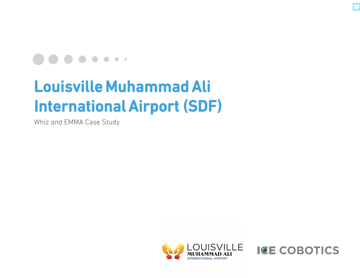

# Louisville Muhammad Ali International Airport (SDF)

Whiz and EMMA Case Study



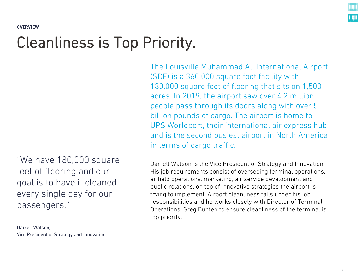**OVERVIEW**

## Cleanliness is Top Priority.

"We have 180,000 square feet of flooring and our goal is to have it cleaned every single day for our passengers."

Darrell Watson, Vice President of Strategy and Innovation The Louisville Muhammad Ali International Airport (SDF) is a 360,000 square foot facility with 180,000 square feet of flooring that sits on 1,500 acres. In 2019, the airport saw over 4.2 million people pass through its doors along with over 5 billion pounds of cargo. The airport is home to UPS Worldport, their international air express hub and is the second busiest airport in North America in terms of cargo traffic.

Darrell Watson is the Vice President of Strategy and Innovation. His job requirements consist of overseeing terminal operations, airfield operations, marketing, air service development and public relations, on top of innovative strategies the airport is trying to implement. Airport cleanliness falls under his job responsibilities and he works closely with Director of Terminal Operations, Greg Bunten to ensure cleanliness of the terminal is top priority.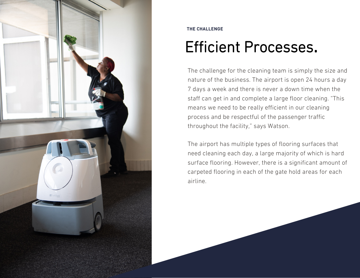

#### **THE CHALLENGE**

# Efficient Processes.

The challenge for the cleaning team is simply the size and nature of the business. The airport is open 24 hours a day 7 days a week and there is never a down time when the staff can get in and complete a large floor cleaning. "This means we need to be really efficient in our cleaning process and be respectful of the passenger traffic throughout the facility," says Watson.

The airport has multiple types of flooring surfaces that need cleaning each day, a large majority of which is hard surface flooring. However, there is a significant amount of carpeted flooring in each of the gate hold areas for each airline.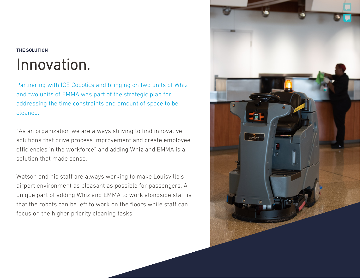#### **THE SOLUTION**

### Innovation.

Partnering with ICE Cobotics and bringing on two units of Whiz and two units of EMMA was part of the strategic plan for addressing the time constraints and amount of space to be cleaned.

"As an organization we are always striving to find innovative solutions that drive process improvement and create employee efficiencies in the workforce" and adding Whiz and EMMA is a solution that made sense.

Watson and his staff are always working to make Louisville's airport environment as pleasant as possible for passengers. A unique part of adding Whiz and EMMA to work alongside staff is that the robots can be left to work on the floors while staff can focus on the higher priority cleaning tasks.